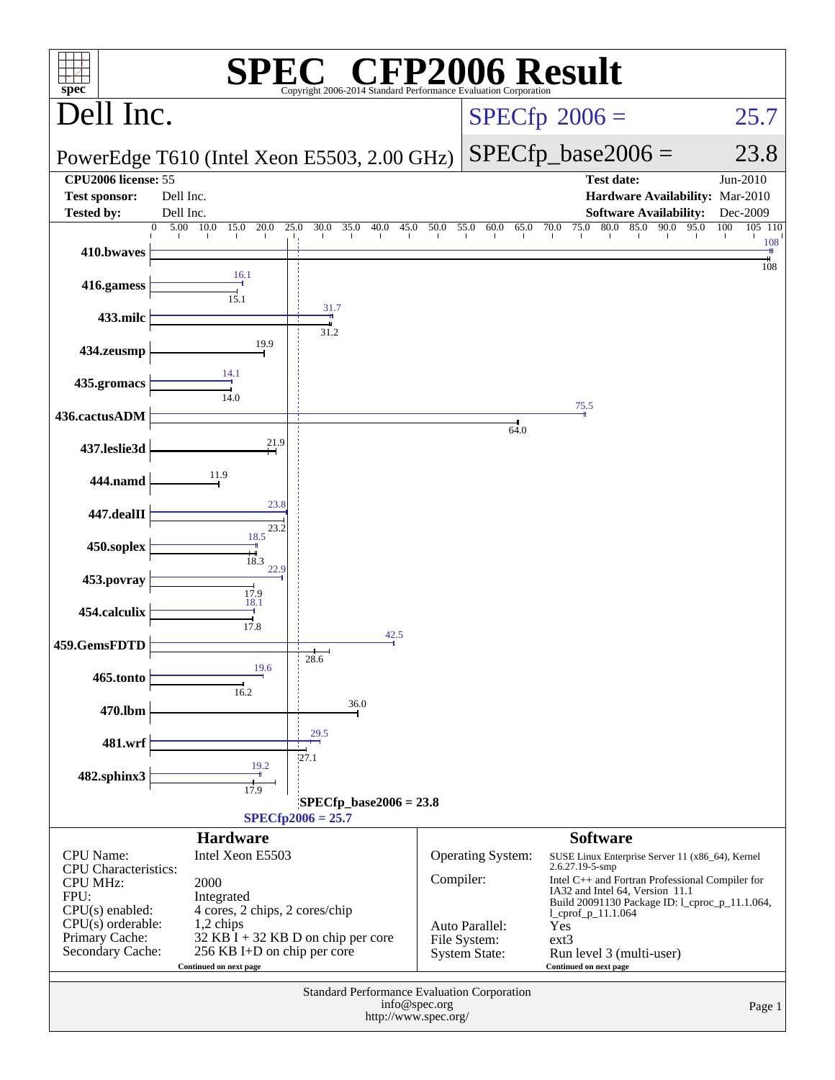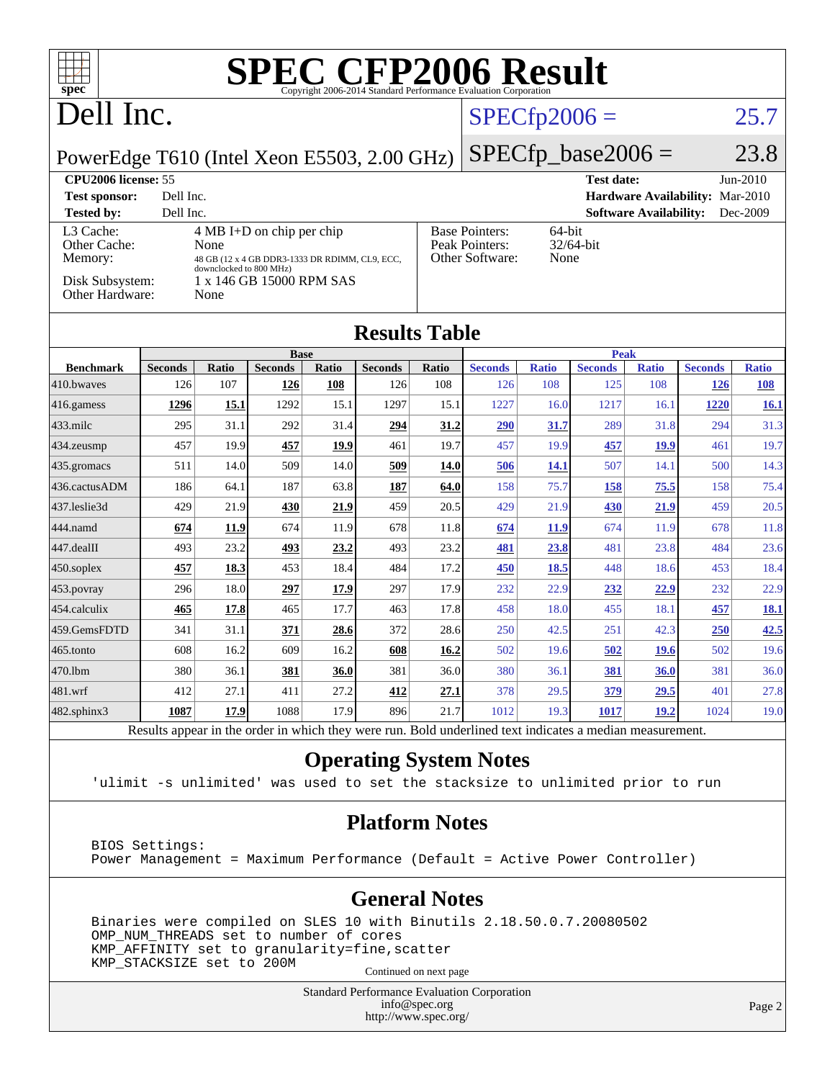| T T                                                                                                   |                      |                            |                |       |                                                        |       | <b>SPEC CFP2006 Result</b>                                                                               |                                 |                      |                               |                |              |
|-------------------------------------------------------------------------------------------------------|----------------------|----------------------------|----------------|-------|--------------------------------------------------------|-------|----------------------------------------------------------------------------------------------------------|---------------------------------|----------------------|-------------------------------|----------------|--------------|
| $spec^{\circ}$                                                                                        |                      |                            |                |       |                                                        |       | Copyright 2006-2014 Standard Performance Evaluation Corporation                                          |                                 |                      |                               |                |              |
| Dell Inc.                                                                                             |                      |                            |                |       | $SPECfp2006 =$                                         |       |                                                                                                          | 25.7                            |                      |                               |                |              |
| PowerEdge T610 (Intel Xeon E5503, 2.00 GHz)                                                           |                      |                            |                |       |                                                        |       |                                                                                                          |                                 | $SPECfp\_base2006 =$ |                               |                | 23.8         |
|                                                                                                       |                      |                            |                |       |                                                        |       |                                                                                                          |                                 | <b>Test date:</b>    |                               |                | Jun-2010     |
| CPU2006 license: 55<br>Dell Inc.<br><b>Test sponsor:</b>                                              |                      |                            |                |       |                                                        |       |                                                                                                          | Hardware Availability: Mar-2010 |                      |                               |                |              |
| <b>Tested by:</b>                                                                                     | Dell Inc.            |                            |                |       |                                                        |       |                                                                                                          |                                 |                      | <b>Software Availability:</b> |                | Dec-2009     |
| 4 MB I+D on chip per chip<br>L3 Cache:                                                                |                      |                            |                |       | <b>Base Pointers:</b><br>64-bit                        |       |                                                                                                          |                                 |                      |                               |                |              |
| Memory:                                                                                               | Other Cache:<br>None |                            |                |       | Peak Pointers:<br>32/64-bit<br>Other Software:<br>None |       |                                                                                                          |                                 |                      |                               |                |              |
| 48 GB (12 x 4 GB DDR3-1333 DR RDIMM, CL9, ECC,<br>downclocked to 800 MHz)<br>1 x 146 GB 15000 RPM SAS |                      |                            |                |       |                                                        |       |                                                                                                          |                                 |                      |                               |                |              |
| Disk Subsystem:<br>Other Hardware:                                                                    |                      | None                       |                |       |                                                        |       |                                                                                                          |                                 |                      |                               |                |              |
|                                                                                                       |                      |                            |                |       | <b>Results Table</b>                                   |       |                                                                                                          |                                 |                      |                               |                |              |
|                                                                                                       |                      | <b>Base</b><br><b>Peak</b> |                |       |                                                        |       |                                                                                                          |                                 |                      |                               |                |              |
| <b>Benchmark</b>                                                                                      | <b>Seconds</b>       | <b>Ratio</b>               | <b>Seconds</b> | Ratio | <b>Seconds</b>                                         | Ratio | <b>Seconds</b>                                                                                           | <b>Ratio</b>                    | <b>Seconds</b>       | <b>Ratio</b>                  | <b>Seconds</b> | <b>Ratio</b> |
| 410.bwayes                                                                                            | 126                  | 107                        | 126            | 108   | 126                                                    | 108   | 126                                                                                                      | 108                             | 125                  | 108                           | 126            | 108          |
| 416.gamess                                                                                            | 1296                 | 15.1                       | 1292           | 15.1  | 1297                                                   | 15.1  | 1227                                                                                                     | 16.0                            | 1217                 | 16.1                          | 1220           | <b>16.1</b>  |
| 433.milc                                                                                              | 295                  | 31.1                       | 292            | 31.4  | 294                                                    | 31.2  | 290                                                                                                      | 31.7                            | 289                  | 31.8                          | 294            | 31.3         |
| 434.zeusmp                                                                                            | 457                  | 19.9                       | 457            | 19.9  | 461                                                    | 19.7  | 457                                                                                                      | 19.9                            | 457                  | 19.9                          | 461            | 19.7         |
| 435.gromacs                                                                                           | 511                  | 14.0                       | 509            | 14.0  | 509                                                    | 14.0  | <u>506</u>                                                                                               | <b>14.1</b>                     | 507                  | 14.1                          | 500            | 14.3         |
| 436.cactusADM                                                                                         | 186                  | 64.1                       | 187            | 63.8  | 187                                                    | 64.0  | 158                                                                                                      | 75.7                            | 158                  | 75.5                          | 158            | 75.4         |
| 437.leslie3d                                                                                          | 429                  | 21.9                       | 430            | 21.9  | 459                                                    | 20.5  | 429                                                                                                      | 21.9                            | 430                  | 21.9                          | 459            | 20.5         |
| 444.namd                                                                                              | 674                  | 11.9                       | 674            | 11.9  | 678                                                    | 11.8  | 674                                                                                                      | 11.9                            | 674                  | 11.9                          | 678            | 11.8         |
| 447.dealII                                                                                            | 493                  | 23.2                       | 493            | 23.2  | 493                                                    | 23.2  | 481                                                                                                      | 23.8                            | 481                  | 23.8                          | 484            | 23.6         |
| 450.soplex                                                                                            | 457                  | 18.3                       | 453            | 18.4  | 484                                                    | 17.2  | 450                                                                                                      | 18.5                            | 448                  | 18.6                          | 453            | 18.4         |
| 453.povray                                                                                            | 296                  | 18.0                       | 297            | 17.9  | 297                                                    | 17.9  | 232                                                                                                      | 22.9                            | 232                  | 22.9                          | 232            | 22.9         |
| 454.calculix                                                                                          | 465                  | 17.8                       | 465            | 17.7  | 463                                                    | 17.8  | 458                                                                                                      | 18.0                            | 455                  | 18.1                          | 457            | <u>18.1</u>  |
| 459.GemsFDTD                                                                                          | 341                  | 31.1                       | 371            | 28.6  | 372                                                    | 28.6  | 250                                                                                                      | 42.5                            | 251                  | 42.3                          | 250            | 42.5         |
| 465.tonto                                                                                             | 608                  | 16.2                       | 609            | 16.2  | 608                                                    | 16.2  | 502                                                                                                      | 19.6                            | 502                  | <b>19.6</b>                   | 502            | 19.6         |
| 470.1bm                                                                                               | 380                  | 36.1                       | 381            | 36.0  | 381                                                    | 36.0  | 380                                                                                                      | 36.1                            | 381                  | 36.0                          | 381            | 36.0         |
| 481.wrf                                                                                               | 412                  | 27.1                       | 411            | 27.2  | 412                                                    | 27.1  | 378                                                                                                      | 29.5                            | 379                  | 29.5                          | 401            | 27.8         |
| 482.sphinx3                                                                                           | 1087                 | 17.9                       | 1088           | 17.9  | 896                                                    | 21.7  | 1012                                                                                                     | 19.3                            | 1017                 | 19.2                          | 1024           | 19.0         |
|                                                                                                       |                      |                            |                |       |                                                        |       | Results appear in the order in which they were run. Bold underlined text indicates a median measurement. |                                 |                      |                               |                |              |

#### **[Operating System Notes](http://www.spec.org/auto/cpu2006/Docs/result-fields.html#OperatingSystemNotes)**

'ulimit -s unlimited' was used to set the stacksize to unlimited prior to run

#### **[Platform Notes](http://www.spec.org/auto/cpu2006/Docs/result-fields.html#PlatformNotes)**

 BIOS Settings: Power Management = Maximum Performance (Default = Active Power Controller)

#### **[General Notes](http://www.spec.org/auto/cpu2006/Docs/result-fields.html#GeneralNotes)**

 Binaries were compiled on SLES 10 with Binutils 2.18.50.0.7.20080502 OMP\_NUM\_THREADS set to number of cores KMP\_AFFINITY set to granularity=fine,scatter KMP\_STACKSIZE set to 200M

Continued on next page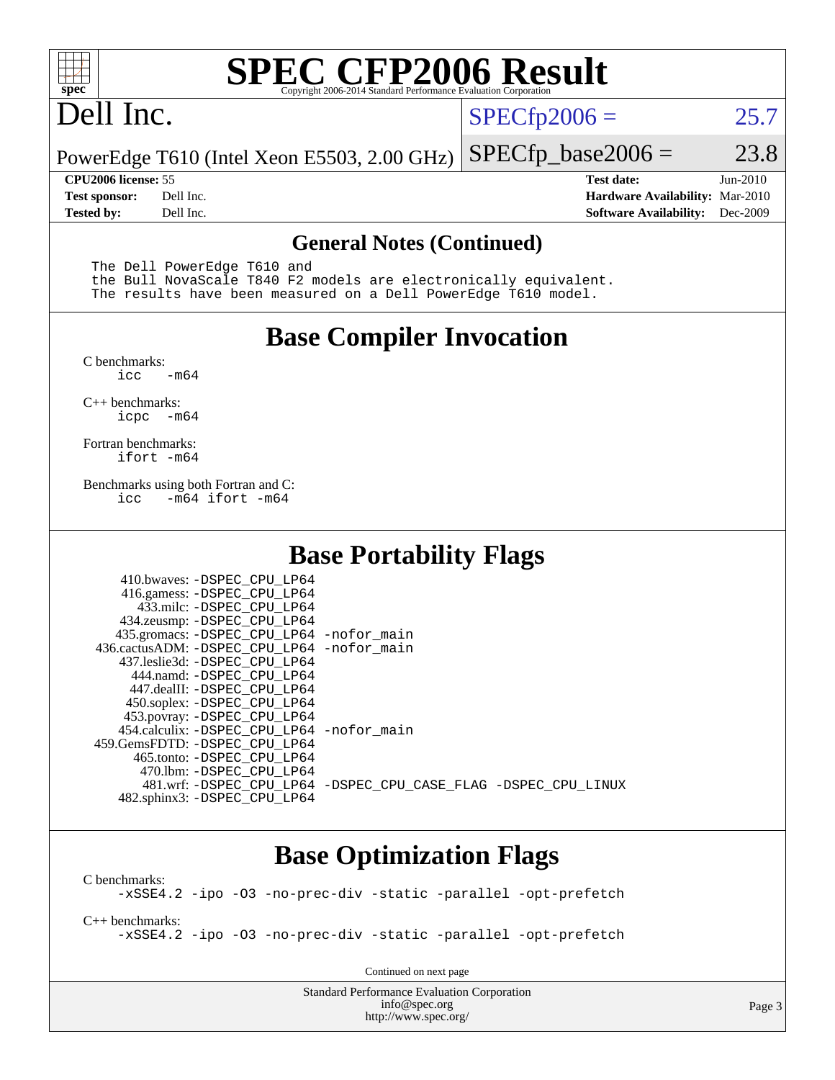

# **[SPEC CFP2006 Result](http://www.spec.org/auto/cpu2006/Docs/result-fields.html#SPECCFP2006Result)**

# Dell Inc.

 $SPECTp2006 = 25.7$ 

PowerEdge T610 (Intel Xeon E5503, 2.00 GHz)  $SPECTp\_base2006 = 23.8$ 

**[CPU2006 license:](http://www.spec.org/auto/cpu2006/Docs/result-fields.html#CPU2006license)** 55 **[Test date:](http://www.spec.org/auto/cpu2006/Docs/result-fields.html#Testdate)** Jun-2010 **[Test sponsor:](http://www.spec.org/auto/cpu2006/Docs/result-fields.html#Testsponsor)** Dell Inc. **[Hardware Availability:](http://www.spec.org/auto/cpu2006/Docs/result-fields.html#HardwareAvailability)** Mar-2010 **[Tested by:](http://www.spec.org/auto/cpu2006/Docs/result-fields.html#Testedby)** Dell Inc. **[Software Availability:](http://www.spec.org/auto/cpu2006/Docs/result-fields.html#SoftwareAvailability)** Dec-2009

#### **[General Notes \(Continued\)](http://www.spec.org/auto/cpu2006/Docs/result-fields.html#GeneralNotes)**

The Dell PowerEdge T610 and

 the Bull NovaScale T840 F2 models are electronically equivalent. The results have been measured on a Dell PowerEdge T610 model.

### **[Base Compiler Invocation](http://www.spec.org/auto/cpu2006/Docs/result-fields.html#BaseCompilerInvocation)**

[C benchmarks](http://www.spec.org/auto/cpu2006/Docs/result-fields.html#Cbenchmarks):  $\text{icc}$   $-\text{m64}$ 

[C++ benchmarks:](http://www.spec.org/auto/cpu2006/Docs/result-fields.html#CXXbenchmarks) [icpc -m64](http://www.spec.org/cpu2006/results/res2010q3/cpu2006-20100702-12136.flags.html#user_CXXbase_intel_icpc_64bit_bedb90c1146cab66620883ef4f41a67e)

[Fortran benchmarks](http://www.spec.org/auto/cpu2006/Docs/result-fields.html#Fortranbenchmarks): [ifort -m64](http://www.spec.org/cpu2006/results/res2010q3/cpu2006-20100702-12136.flags.html#user_FCbase_intel_ifort_64bit_ee9d0fb25645d0210d97eb0527dcc06e)

[Benchmarks using both Fortran and C](http://www.spec.org/auto/cpu2006/Docs/result-fields.html#BenchmarksusingbothFortranandC): [icc -m64](http://www.spec.org/cpu2006/results/res2010q3/cpu2006-20100702-12136.flags.html#user_CC_FCbase_intel_icc_64bit_0b7121f5ab7cfabee23d88897260401c) [ifort -m64](http://www.spec.org/cpu2006/results/res2010q3/cpu2006-20100702-12136.flags.html#user_CC_FCbase_intel_ifort_64bit_ee9d0fb25645d0210d97eb0527dcc06e)

## **[Base Portability Flags](http://www.spec.org/auto/cpu2006/Docs/result-fields.html#BasePortabilityFlags)**

| 410.bwaves: -DSPEC CPU LP64<br>416.gamess: -DSPEC_CPU_LP64<br>433.milc: -DSPEC CPU LP64<br>434.zeusmp: -DSPEC_CPU_LP64<br>435.gromacs: -DSPEC_CPU_LP64 -nofor_main<br>436.cactusADM: -DSPEC CPU LP64 -nofor main<br>437.leslie3d: -DSPEC CPU LP64<br>444.namd: -DSPEC CPU LP64<br>447.dealII: -DSPEC CPU LP64 |                                                                |
|---------------------------------------------------------------------------------------------------------------------------------------------------------------------------------------------------------------------------------------------------------------------------------------------------------------|----------------------------------------------------------------|
| 450.soplex: -DSPEC_CPU_LP64<br>453.povray: -DSPEC_CPU_LP64<br>454.calculix: - DSPEC CPU LP64 - nofor main<br>459. GemsFDTD: - DSPEC CPU LP64<br>465.tonto: - DSPEC CPU LP64                                                                                                                                   |                                                                |
| 470.1bm: - DSPEC CPU LP64<br>482.sphinx3: -DSPEC_CPU_LP64                                                                                                                                                                                                                                                     | 481.wrf: -DSPEC CPU_LP64 -DSPEC_CPU_CASE_FLAG -DSPEC_CPU_LINUX |

### **[Base Optimization Flags](http://www.spec.org/auto/cpu2006/Docs/result-fields.html#BaseOptimizationFlags)**

[C benchmarks](http://www.spec.org/auto/cpu2006/Docs/result-fields.html#Cbenchmarks): [-xSSE4.2](http://www.spec.org/cpu2006/results/res2010q3/cpu2006-20100702-12136.flags.html#user_CCbase_f-xSSE42_f91528193cf0b216347adb8b939d4107) [-ipo](http://www.spec.org/cpu2006/results/res2010q3/cpu2006-20100702-12136.flags.html#user_CCbase_f-ipo) [-O3](http://www.spec.org/cpu2006/results/res2010q3/cpu2006-20100702-12136.flags.html#user_CCbase_f-O3) [-no-prec-div](http://www.spec.org/cpu2006/results/res2010q3/cpu2006-20100702-12136.flags.html#user_CCbase_f-no-prec-div) [-static](http://www.spec.org/cpu2006/results/res2010q3/cpu2006-20100702-12136.flags.html#user_CCbase_f-static) [-parallel](http://www.spec.org/cpu2006/results/res2010q3/cpu2006-20100702-12136.flags.html#user_CCbase_f-parallel) [-opt-prefetch](http://www.spec.org/cpu2006/results/res2010q3/cpu2006-20100702-12136.flags.html#user_CCbase_f-opt-prefetch)

[C++ benchmarks:](http://www.spec.org/auto/cpu2006/Docs/result-fields.html#CXXbenchmarks) [-xSSE4.2](http://www.spec.org/cpu2006/results/res2010q3/cpu2006-20100702-12136.flags.html#user_CXXbase_f-xSSE42_f91528193cf0b216347adb8b939d4107) [-ipo](http://www.spec.org/cpu2006/results/res2010q3/cpu2006-20100702-12136.flags.html#user_CXXbase_f-ipo) [-O3](http://www.spec.org/cpu2006/results/res2010q3/cpu2006-20100702-12136.flags.html#user_CXXbase_f-O3) [-no-prec-div](http://www.spec.org/cpu2006/results/res2010q3/cpu2006-20100702-12136.flags.html#user_CXXbase_f-no-prec-div) [-static](http://www.spec.org/cpu2006/results/res2010q3/cpu2006-20100702-12136.flags.html#user_CXXbase_f-static) [-parallel](http://www.spec.org/cpu2006/results/res2010q3/cpu2006-20100702-12136.flags.html#user_CXXbase_f-parallel) [-opt-prefetch](http://www.spec.org/cpu2006/results/res2010q3/cpu2006-20100702-12136.flags.html#user_CXXbase_f-opt-prefetch)

Continued on next page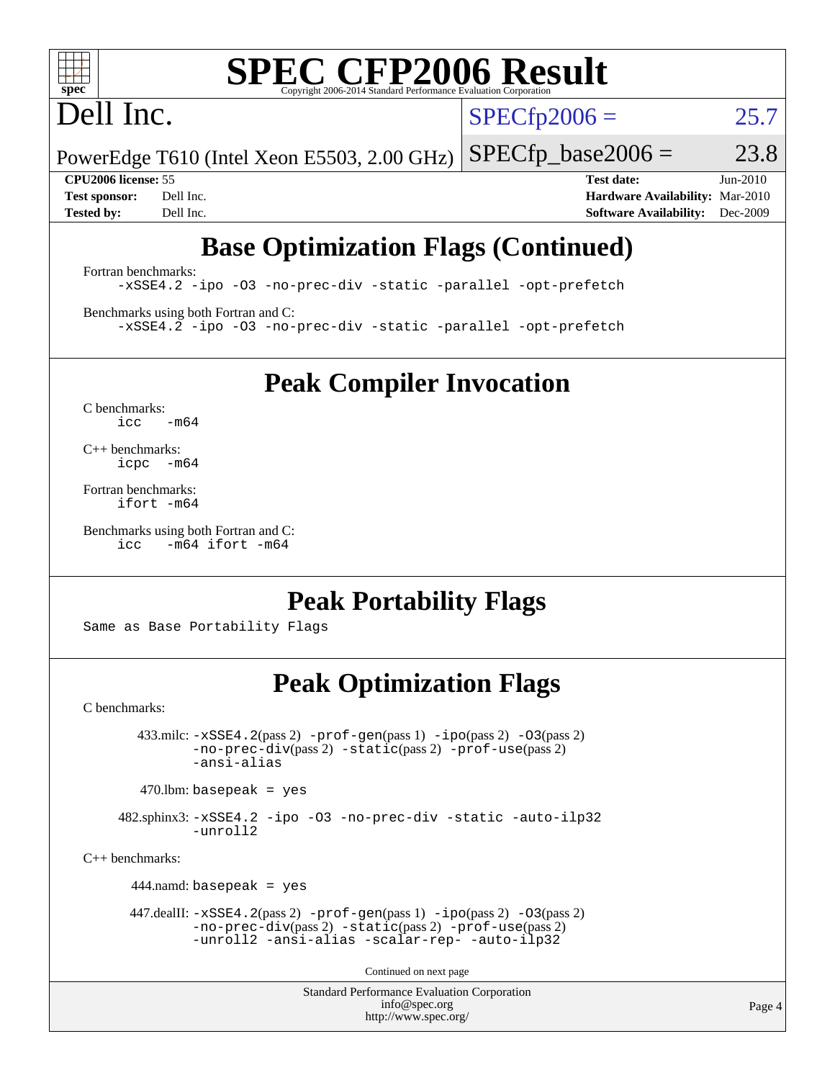

# **[SPEC CFP2006 Result](http://www.spec.org/auto/cpu2006/Docs/result-fields.html#SPECCFP2006Result)**

# Dell Inc.

 $SPECTp2006 = 25.7$ 

PowerEdge T610 (Intel Xeon E5503, 2.00 GHz)  $SPECTp\_base2006 = 23.8$ 

**[CPU2006 license:](http://www.spec.org/auto/cpu2006/Docs/result-fields.html#CPU2006license)** 55 **[Test date:](http://www.spec.org/auto/cpu2006/Docs/result-fields.html#Testdate)** Jun-2010 **[Test sponsor:](http://www.spec.org/auto/cpu2006/Docs/result-fields.html#Testsponsor)** Dell Inc. **[Hardware Availability:](http://www.spec.org/auto/cpu2006/Docs/result-fields.html#HardwareAvailability)** Mar-2010 **[Tested by:](http://www.spec.org/auto/cpu2006/Docs/result-fields.html#Testedby)** Dell Inc. **[Software Availability:](http://www.spec.org/auto/cpu2006/Docs/result-fields.html#SoftwareAvailability)** Dec-2009

# **[Base Optimization Flags \(Continued\)](http://www.spec.org/auto/cpu2006/Docs/result-fields.html#BaseOptimizationFlags)**

[Fortran benchmarks](http://www.spec.org/auto/cpu2006/Docs/result-fields.html#Fortranbenchmarks): [-xSSE4.2](http://www.spec.org/cpu2006/results/res2010q3/cpu2006-20100702-12136.flags.html#user_FCbase_f-xSSE42_f91528193cf0b216347adb8b939d4107) [-ipo](http://www.spec.org/cpu2006/results/res2010q3/cpu2006-20100702-12136.flags.html#user_FCbase_f-ipo) [-O3](http://www.spec.org/cpu2006/results/res2010q3/cpu2006-20100702-12136.flags.html#user_FCbase_f-O3) [-no-prec-div](http://www.spec.org/cpu2006/results/res2010q3/cpu2006-20100702-12136.flags.html#user_FCbase_f-no-prec-div) [-static](http://www.spec.org/cpu2006/results/res2010q3/cpu2006-20100702-12136.flags.html#user_FCbase_f-static) [-parallel](http://www.spec.org/cpu2006/results/res2010q3/cpu2006-20100702-12136.flags.html#user_FCbase_f-parallel) [-opt-prefetch](http://www.spec.org/cpu2006/results/res2010q3/cpu2006-20100702-12136.flags.html#user_FCbase_f-opt-prefetch)

[Benchmarks using both Fortran and C](http://www.spec.org/auto/cpu2006/Docs/result-fields.html#BenchmarksusingbothFortranandC): [-xSSE4.2](http://www.spec.org/cpu2006/results/res2010q3/cpu2006-20100702-12136.flags.html#user_CC_FCbase_f-xSSE42_f91528193cf0b216347adb8b939d4107) [-ipo](http://www.spec.org/cpu2006/results/res2010q3/cpu2006-20100702-12136.flags.html#user_CC_FCbase_f-ipo) [-O3](http://www.spec.org/cpu2006/results/res2010q3/cpu2006-20100702-12136.flags.html#user_CC_FCbase_f-O3) [-no-prec-div](http://www.spec.org/cpu2006/results/res2010q3/cpu2006-20100702-12136.flags.html#user_CC_FCbase_f-no-prec-div) [-static](http://www.spec.org/cpu2006/results/res2010q3/cpu2006-20100702-12136.flags.html#user_CC_FCbase_f-static) [-parallel](http://www.spec.org/cpu2006/results/res2010q3/cpu2006-20100702-12136.flags.html#user_CC_FCbase_f-parallel) [-opt-prefetch](http://www.spec.org/cpu2006/results/res2010q3/cpu2006-20100702-12136.flags.html#user_CC_FCbase_f-opt-prefetch)

**[Peak Compiler Invocation](http://www.spec.org/auto/cpu2006/Docs/result-fields.html#PeakCompilerInvocation)**

[C benchmarks](http://www.spec.org/auto/cpu2006/Docs/result-fields.html#Cbenchmarks):  $icc$   $-m64$ 

[C++ benchmarks:](http://www.spec.org/auto/cpu2006/Docs/result-fields.html#CXXbenchmarks) [icpc -m64](http://www.spec.org/cpu2006/results/res2010q3/cpu2006-20100702-12136.flags.html#user_CXXpeak_intel_icpc_64bit_bedb90c1146cab66620883ef4f41a67e)

[Fortran benchmarks](http://www.spec.org/auto/cpu2006/Docs/result-fields.html#Fortranbenchmarks): [ifort -m64](http://www.spec.org/cpu2006/results/res2010q3/cpu2006-20100702-12136.flags.html#user_FCpeak_intel_ifort_64bit_ee9d0fb25645d0210d97eb0527dcc06e)

[Benchmarks using both Fortran and C](http://www.spec.org/auto/cpu2006/Docs/result-fields.html#BenchmarksusingbothFortranandC): [icc -m64](http://www.spec.org/cpu2006/results/res2010q3/cpu2006-20100702-12136.flags.html#user_CC_FCpeak_intel_icc_64bit_0b7121f5ab7cfabee23d88897260401c) [ifort -m64](http://www.spec.org/cpu2006/results/res2010q3/cpu2006-20100702-12136.flags.html#user_CC_FCpeak_intel_ifort_64bit_ee9d0fb25645d0210d97eb0527dcc06e)

## **[Peak Portability Flags](http://www.spec.org/auto/cpu2006/Docs/result-fields.html#PeakPortabilityFlags)**

Same as Base Portability Flags

## **[Peak Optimization Flags](http://www.spec.org/auto/cpu2006/Docs/result-fields.html#PeakOptimizationFlags)**

[C benchmarks](http://www.spec.org/auto/cpu2006/Docs/result-fields.html#Cbenchmarks):

 $433 \text{.}$ milc:  $-xSSE4$ .  $2(pass 2)$  - $prof-gen(pass 1)$  - $ipo(pass 2)$  [-O3](http://www.spec.org/cpu2006/results/res2010q3/cpu2006-20100702-12136.flags.html#user_peakPASS2_CFLAGSPASS2_LDFLAGS433_milc_f-O3) $(pass 2)$ [-no-prec-div](http://www.spec.org/cpu2006/results/res2010q3/cpu2006-20100702-12136.flags.html#user_peakPASS2_CFLAGSPASS2_LDFLAGS433_milc_f-no-prec-div)(pass 2) [-static](http://www.spec.org/cpu2006/results/res2010q3/cpu2006-20100702-12136.flags.html#user_peakPASS2_CFLAGSPASS2_LDFLAGS433_milc_f-static)(pass 2) [-prof-use](http://www.spec.org/cpu2006/results/res2010q3/cpu2006-20100702-12136.flags.html#user_peakPASS2_CFLAGSPASS2_LDFLAGS433_milc_prof_use_bccf7792157ff70d64e32fe3e1250b55)(pass 2) [-ansi-alias](http://www.spec.org/cpu2006/results/res2010q3/cpu2006-20100702-12136.flags.html#user_peakOPTIMIZE433_milc_f-ansi-alias)

 $470$ .lbm: basepeak = yes

 482.sphinx3: [-xSSE4.2](http://www.spec.org/cpu2006/results/res2010q3/cpu2006-20100702-12136.flags.html#user_peakOPTIMIZE482_sphinx3_f-xSSE42_f91528193cf0b216347adb8b939d4107) [-ipo](http://www.spec.org/cpu2006/results/res2010q3/cpu2006-20100702-12136.flags.html#user_peakOPTIMIZE482_sphinx3_f-ipo) [-O3](http://www.spec.org/cpu2006/results/res2010q3/cpu2006-20100702-12136.flags.html#user_peakOPTIMIZE482_sphinx3_f-O3) [-no-prec-div](http://www.spec.org/cpu2006/results/res2010q3/cpu2006-20100702-12136.flags.html#user_peakOPTIMIZE482_sphinx3_f-no-prec-div) [-static](http://www.spec.org/cpu2006/results/res2010q3/cpu2006-20100702-12136.flags.html#user_peakOPTIMIZE482_sphinx3_f-static) [-auto-ilp32](http://www.spec.org/cpu2006/results/res2010q3/cpu2006-20100702-12136.flags.html#user_peakCOPTIMIZE482_sphinx3_f-auto-ilp32) [-unroll2](http://www.spec.org/cpu2006/results/res2010q3/cpu2006-20100702-12136.flags.html#user_peakCOPTIMIZE482_sphinx3_f-unroll_784dae83bebfb236979b41d2422d7ec2)

[C++ benchmarks:](http://www.spec.org/auto/cpu2006/Docs/result-fields.html#CXXbenchmarks)

444.namd: basepeak = yes

 447.dealII: [-xSSE4.2](http://www.spec.org/cpu2006/results/res2010q3/cpu2006-20100702-12136.flags.html#user_peakPASS2_CXXFLAGSPASS2_LDFLAGS447_dealII_f-xSSE42_f91528193cf0b216347adb8b939d4107)(pass 2) [-prof-gen](http://www.spec.org/cpu2006/results/res2010q3/cpu2006-20100702-12136.flags.html#user_peakPASS1_CXXFLAGSPASS1_LDFLAGS447_dealII_prof_gen_e43856698f6ca7b7e442dfd80e94a8fc)(pass 1) [-ipo](http://www.spec.org/cpu2006/results/res2010q3/cpu2006-20100702-12136.flags.html#user_peakPASS2_CXXFLAGSPASS2_LDFLAGS447_dealII_f-ipo)(pass 2) [-O3](http://www.spec.org/cpu2006/results/res2010q3/cpu2006-20100702-12136.flags.html#user_peakPASS2_CXXFLAGSPASS2_LDFLAGS447_dealII_f-O3)(pass 2) [-no-prec-div](http://www.spec.org/cpu2006/results/res2010q3/cpu2006-20100702-12136.flags.html#user_peakPASS2_CXXFLAGSPASS2_LDFLAGS447_dealII_f-no-prec-div)(pass 2) [-static](http://www.spec.org/cpu2006/results/res2010q3/cpu2006-20100702-12136.flags.html#user_peakPASS2_CXXFLAGSPASS2_LDFLAGS447_dealII_f-static)(pass 2) [-prof-use](http://www.spec.org/cpu2006/results/res2010q3/cpu2006-20100702-12136.flags.html#user_peakPASS2_CXXFLAGSPASS2_LDFLAGS447_dealII_prof_use_bccf7792157ff70d64e32fe3e1250b55)(pass 2) [-unroll2](http://www.spec.org/cpu2006/results/res2010q3/cpu2006-20100702-12136.flags.html#user_peakOPTIMIZE447_dealII_f-unroll_784dae83bebfb236979b41d2422d7ec2) [-ansi-alias](http://www.spec.org/cpu2006/results/res2010q3/cpu2006-20100702-12136.flags.html#user_peakOPTIMIZE447_dealII_f-ansi-alias) [-scalar-rep-](http://www.spec.org/cpu2006/results/res2010q3/cpu2006-20100702-12136.flags.html#user_peakOPTIMIZE447_dealII_f-disablescalarrep_abbcad04450fb118e4809c81d83c8a1d) [-auto-ilp32](http://www.spec.org/cpu2006/results/res2010q3/cpu2006-20100702-12136.flags.html#user_peakCXXOPTIMIZE447_dealII_f-auto-ilp32)

Continued on next page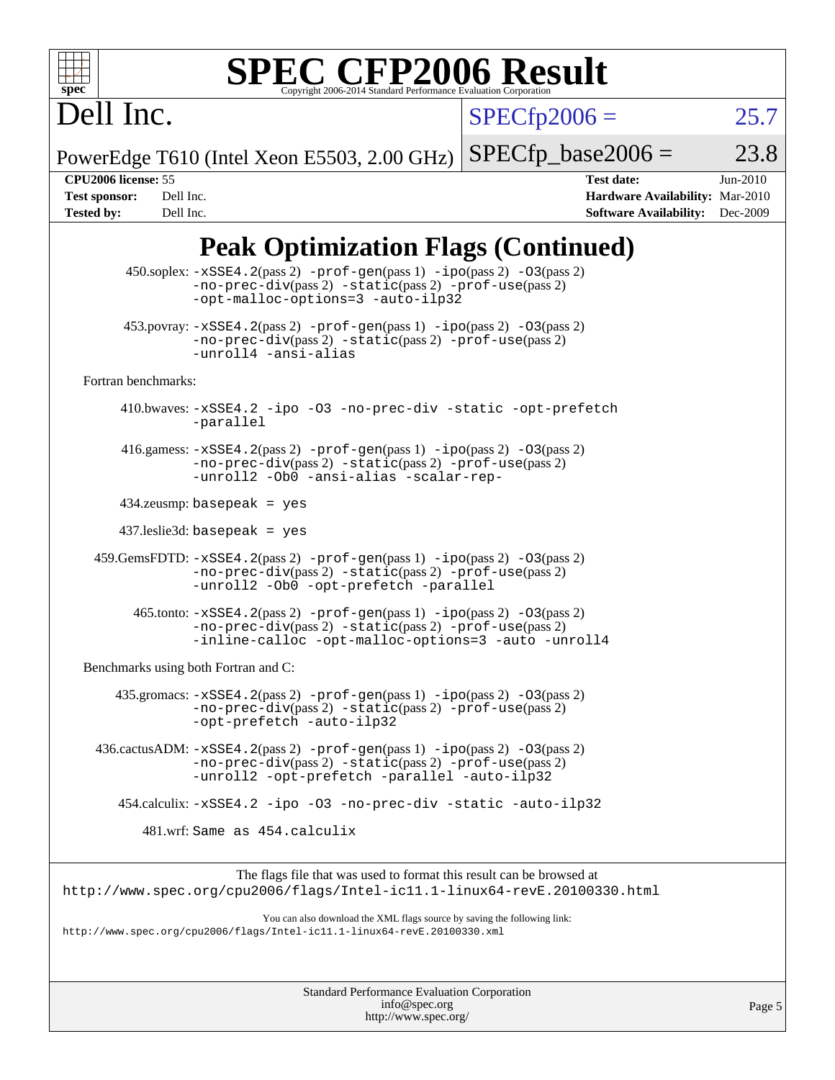

# **[SPEC CFP2006 Result](http://www.spec.org/auto/cpu2006/Docs/result-fields.html#SPECCFP2006Result)**

 $SPECfp2006 = 25.7$  $SPECfp2006 = 25.7$ 

PowerEdge T610 (Intel Xeon E5503, 2.00 GHz)  $SPECTp\_base2006 = 23.8$ 

Dell Inc.

**[CPU2006 license:](http://www.spec.org/auto/cpu2006/Docs/result-fields.html#CPU2006license)** 55 **[Test date:](http://www.spec.org/auto/cpu2006/Docs/result-fields.html#Testdate)** Jun-2010 **[Test sponsor:](http://www.spec.org/auto/cpu2006/Docs/result-fields.html#Testsponsor)** Dell Inc. **[Hardware Availability:](http://www.spec.org/auto/cpu2006/Docs/result-fields.html#HardwareAvailability)** Mar-2010 **[Tested by:](http://www.spec.org/auto/cpu2006/Docs/result-fields.html#Testedby)** Dell Inc. **[Software Availability:](http://www.spec.org/auto/cpu2006/Docs/result-fields.html#SoftwareAvailability)** Dec-2009

# **[Peak Optimization Flags \(Continued\)](http://www.spec.org/auto/cpu2006/Docs/result-fields.html#PeakOptimizationFlags)**

| 450.soplex: -xSSE4.2(pass 2) -prof-gen(pass 1) -ipo(pass 2) -03(pass 2)<br>$-no-prec-div(pass 2) -static(pass 2) -prot-use(pass 2)$<br>-opt-malloc-options=3 -auto-ilp32                         |  |
|--------------------------------------------------------------------------------------------------------------------------------------------------------------------------------------------------|--|
| $453.$ povray: $-xSSE4.2(pass2)$ -prof-gen $(pass1)$ -ipo $(pass2)$ -03 $(pass2)$<br>-no-prec-div(pass 2) -static(pass 2) -prof-use(pass 2)<br>-unroll4 -ansi-alias                              |  |
| Fortran benchmarks:                                                                                                                                                                              |  |
| 410.bwaves: -xSSE4.2 -ipo -03 -no-prec-div -static -opt-prefetch<br>-parallel                                                                                                                    |  |
| 416.gamess: $-xSSE4$ . 2(pass 2) $-prof-gen(pass 1) -ipo(pass 2) -O3(pass 2)$<br>-no-prec-div(pass 2) -static(pass 2) -prof-use(pass 2)<br>-unroll2 -Ob0 -ansi-alias -scalar-rep-                |  |
| $434$ .zeusmp: basepeak = yes                                                                                                                                                                    |  |
| $437$ .leslie3d: basepeak = yes                                                                                                                                                                  |  |
| 459.GemsFDTD: -xSSE4.2(pass 2) -prof-gen(pass 1) -ipo(pass 2) -03(pass 2)<br>-no-prec-div(pass 2) -static(pass 2) -prof-use(pass 2)<br>-unroll2 -0b0 -opt-prefetch -parallel                     |  |
| $465$ .tonto: $-xSSE4$ . 2(pass 2) $-prof-gen(pass 1) -ipo(pass 2) -03(pass 2)$<br>-no-prec-div(pass 2) -static(pass 2) -prof-use(pass 2)<br>-inline-calloc -opt-malloc-options=3 -auto -unroll4 |  |
| Benchmarks using both Fortran and C:                                                                                                                                                             |  |
| $435$ .gromacs: $-xSSE4$ . 2(pass 2) $-prof-gen(pass 1) -ipo(pass 2) -03(pass 2)$<br>-no-prec-div(pass 2) -static(pass 2) -prof-use(pass 2)<br>-opt-prefetch -auto-ilp32                         |  |
| $436.cactusADM: -xSSE4.2(pass 2) -prof-gen(pass 1) -ipo(pass 2) -03(pass 2)$<br>$-no-prec-div(pass 2) -static(pass 2) -prof-use(pass 2)$<br>-unroll2 -opt-prefetch -parallel -auto-ilp32         |  |
| 454.calculix: -xSSE4.2 -ipo -03 -no-prec-div -static -auto-ilp32                                                                                                                                 |  |
| 481.wrf: Same as 454.calculix                                                                                                                                                                    |  |
| The flags file that was used to format this result can be browsed at                                                                                                                             |  |
| http://www.spec.org/cpu2006/flags/Intel-icl1.1-linux64-revE.20100330.html                                                                                                                        |  |
| You can also download the XML flags source by saving the following link:<br>http://www.spec.org/cpu2006/flags/Intel-icll.1-linux64-revE.20100330.xml                                             |  |
|                                                                                                                                                                                                  |  |